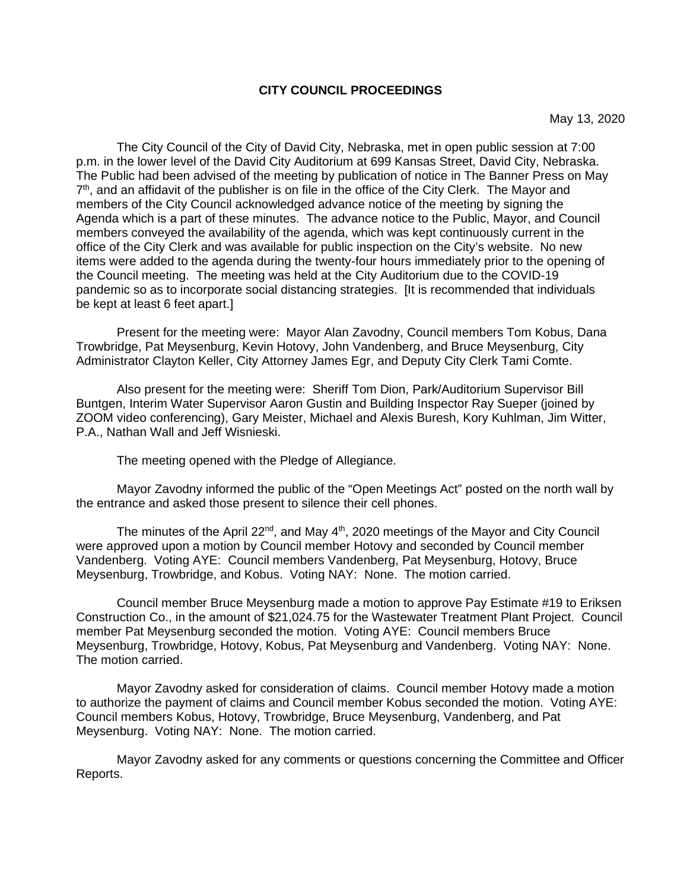#### **CITY COUNCIL PROCEEDINGS**

May 13, 2020

The City Council of the City of David City, Nebraska, met in open public session at 7:00 p.m. in the lower level of the David City Auditorium at 699 Kansas Street, David City, Nebraska. The Public had been advised of the meeting by publication of notice in The Banner Press on May  $7<sup>th</sup>$ , and an affidavit of the publisher is on file in the office of the City Clerk. The Mayor and members of the City Council acknowledged advance notice of the meeting by signing the Agenda which is a part of these minutes. The advance notice to the Public, Mayor, and Council members conveyed the availability of the agenda, which was kept continuously current in the office of the City Clerk and was available for public inspection on the City's website. No new items were added to the agenda during the twenty-four hours immediately prior to the opening of the Council meeting. The meeting was held at the City Auditorium due to the COVID-19 pandemic so as to incorporate social distancing strategies. [It is recommended that individuals be kept at least 6 feet apart.]

Present for the meeting were: Mayor Alan Zavodny, Council members Tom Kobus, Dana Trowbridge, Pat Meysenburg, Kevin Hotovy, John Vandenberg, and Bruce Meysenburg, City Administrator Clayton Keller, City Attorney James Egr, and Deputy City Clerk Tami Comte.

Also present for the meeting were: Sheriff Tom Dion, Park/Auditorium Supervisor Bill Buntgen, Interim Water Supervisor Aaron Gustin and Building Inspector Ray Sueper (joined by ZOOM video conferencing), Gary Meister, Michael and Alexis Buresh, Kory Kuhlman, Jim Witter, P.A., Nathan Wall and Jeff Wisnieski.

The meeting opened with the Pledge of Allegiance.

Mayor Zavodny informed the public of the "Open Meetings Act" posted on the north wall by the entrance and asked those present to silence their cell phones.

The minutes of the April  $22^{nd}$ , and May  $4^{th}$ , 2020 meetings of the Mayor and City Council were approved upon a motion by Council member Hotovy and seconded by Council member Vandenberg. Voting AYE: Council members Vandenberg, Pat Meysenburg, Hotovy, Bruce Meysenburg, Trowbridge, and Kobus. Voting NAY: None. The motion carried.

Council member Bruce Meysenburg made a motion to approve Pay Estimate #19 to Eriksen Construction Co., in the amount of \$21,024.75 for the Wastewater Treatment Plant Project. Council member Pat Meysenburg seconded the motion. Voting AYE: Council members Bruce Meysenburg, Trowbridge, Hotovy, Kobus, Pat Meysenburg and Vandenberg. Voting NAY: None. The motion carried.

Mayor Zavodny asked for consideration of claims. Council member Hotovy made a motion to authorize the payment of claims and Council member Kobus seconded the motion. Voting AYE: Council members Kobus, Hotovy, Trowbridge, Bruce Meysenburg, Vandenberg, and Pat Meysenburg. Voting NAY: None. The motion carried.

Mayor Zavodny asked for any comments or questions concerning the Committee and Officer Reports.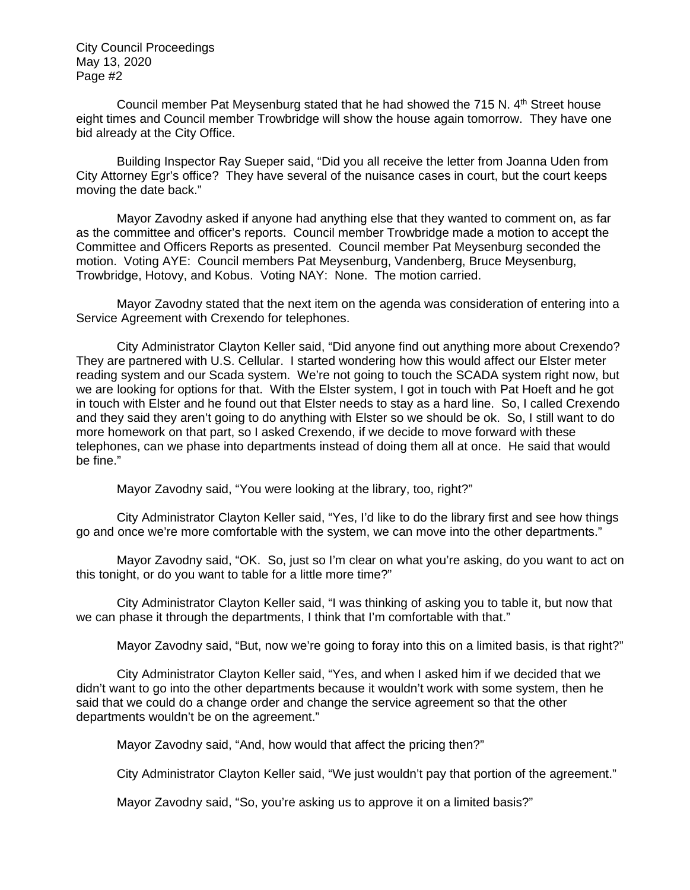Council member Pat Meysenburg stated that he had showed the 715 N.  $4<sup>th</sup>$  Street house eight times and Council member Trowbridge will show the house again tomorrow. They have one bid already at the City Office.

Building Inspector Ray Sueper said, "Did you all receive the letter from Joanna Uden from City Attorney Egr's office? They have several of the nuisance cases in court, but the court keeps moving the date back."

Mayor Zavodny asked if anyone had anything else that they wanted to comment on, as far as the committee and officer's reports. Council member Trowbridge made a motion to accept the Committee and Officers Reports as presented. Council member Pat Meysenburg seconded the motion. Voting AYE: Council members Pat Meysenburg, Vandenberg, Bruce Meysenburg, Trowbridge, Hotovy, and Kobus. Voting NAY: None. The motion carried.

 Mayor Zavodny stated that the next item on the agenda was consideration of entering into a Service Agreement with Crexendo for telephones.

City Administrator Clayton Keller said, "Did anyone find out anything more about Crexendo? They are partnered with U.S. Cellular. I started wondering how this would affect our Elster meter reading system and our Scada system. We're not going to touch the SCADA system right now, but we are looking for options for that. With the Elster system, I got in touch with Pat Hoeft and he got in touch with Elster and he found out that Elster needs to stay as a hard line. So, I called Crexendo and they said they aren't going to do anything with Elster so we should be ok. So, I still want to do more homework on that part, so I asked Crexendo, if we decide to move forward with these telephones, can we phase into departments instead of doing them all at once. He said that would be fine."

Mayor Zayodny said, "You were looking at the library, too, right?"

City Administrator Clayton Keller said, "Yes, I'd like to do the library first and see how things go and once we're more comfortable with the system, we can move into the other departments."

Mayor Zavodny said, "OK. So, just so I'm clear on what you're asking, do you want to act on this tonight, or do you want to table for a little more time?"

City Administrator Clayton Keller said, "I was thinking of asking you to table it, but now that we can phase it through the departments, I think that I'm comfortable with that."

Mayor Zavodny said, "But, now we're going to foray into this on a limited basis, is that right?"

City Administrator Clayton Keller said, "Yes, and when I asked him if we decided that we didn't want to go into the other departments because it wouldn't work with some system, then he said that we could do a change order and change the service agreement so that the other departments wouldn't be on the agreement."

Mayor Zavodny said, "And, how would that affect the pricing then?"

City Administrator Clayton Keller said, "We just wouldn't pay that portion of the agreement."

Mayor Zavodny said, "So, you're asking us to approve it on a limited basis?"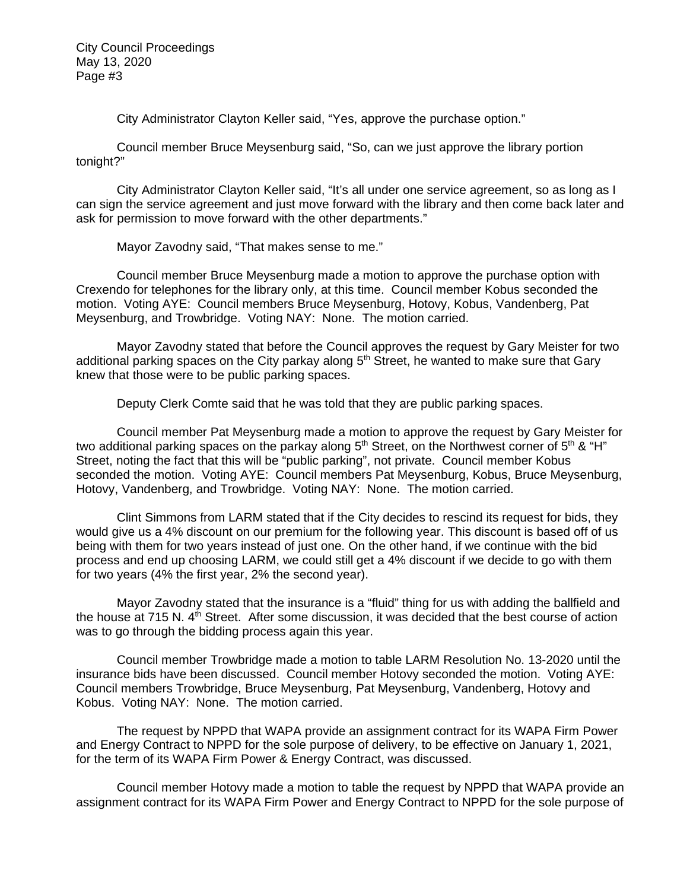City Administrator Clayton Keller said, "Yes, approve the purchase option."

Council member Bruce Meysenburg said, "So, can we just approve the library portion tonight?"

City Administrator Clayton Keller said, "It's all under one service agreement, so as long as I can sign the service agreement and just move forward with the library and then come back later and ask for permission to move forward with the other departments."

Mayor Zavodny said, "That makes sense to me."

Council member Bruce Meysenburg made a motion to approve the purchase option with Crexendo for telephones for the library only, at this time. Council member Kobus seconded the motion. Voting AYE: Council members Bruce Meysenburg, Hotovy, Kobus, Vandenberg, Pat Meysenburg, and Trowbridge. Voting NAY: None. The motion carried.

Mayor Zavodny stated that before the Council approves the request by Gary Meister for two additional parking spaces on the City parkay along 5<sup>th</sup> Street, he wanted to make sure that Gary knew that those were to be public parking spaces.

Deputy Clerk Comte said that he was told that they are public parking spaces.

Council member Pat Meysenburg made a motion to approve the request by Gary Meister for two additional parking spaces on the parkay along  $5<sup>th</sup>$  Street, on the Northwest corner of  $5<sup>th</sup>$  & "H" Street, noting the fact that this will be "public parking", not private. Council member Kobus seconded the motion. Voting AYE: Council members Pat Meysenburg, Kobus, Bruce Meysenburg, Hotovy, Vandenberg, and Trowbridge. Voting NAY: None. The motion carried.

 Clint Simmons from LARM stated that if the City decides to rescind its request for bids, they would give us a 4% discount on our premium for the following year. This discount is based off of us being with them for two years instead of just one. On the other hand, if we continue with the bid process and end up choosing LARM, we could still get a 4% discount if we decide to go with them for two years (4% the first year, 2% the second year).

Mayor Zavodny stated that the insurance is a "fluid" thing for us with adding the ballfield and the house at 715 N. 4<sup>th</sup> Street. After some discussion, it was decided that the best course of action was to go through the bidding process again this year.

Council member Trowbridge made a motion to table LARM Resolution No. 13-2020 until the insurance bids have been discussed. Council member Hotovy seconded the motion. Voting AYE: Council members Trowbridge, Bruce Meysenburg, Pat Meysenburg, Vandenberg, Hotovy and Kobus. Voting NAY: None. The motion carried.

The request by NPPD that WAPA provide an assignment contract for its WAPA Firm Power and Energy Contract to NPPD for the sole purpose of delivery, to be effective on January 1, 2021, for the term of its WAPA Firm Power & Energy Contract, was discussed.

Council member Hotovy made a motion to table the request by NPPD that WAPA provide an assignment contract for its WAPA Firm Power and Energy Contract to NPPD for the sole purpose of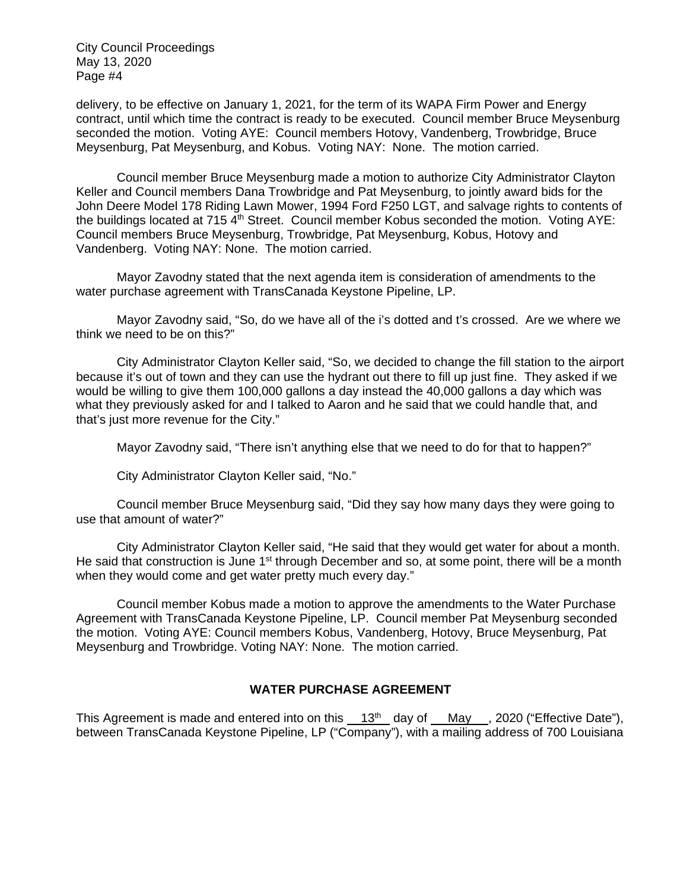delivery, to be effective on January 1, 2021, for the term of its WAPA Firm Power and Energy contract, until which time the contract is ready to be executed. Council member Bruce Meysenburg seconded the motion. Voting AYE: Council members Hotovy, Vandenberg, Trowbridge, Bruce Meysenburg, Pat Meysenburg, and Kobus. Voting NAY: None. The motion carried.

Council member Bruce Meysenburg made a motion to authorize City Administrator Clayton Keller and Council members Dana Trowbridge and Pat Meysenburg, to jointly award bids for the John Deere Model 178 Riding Lawn Mower, 1994 Ford F250 LGT, and salvage rights to contents of the buildings located at 715  $4<sup>th</sup>$  Street. Council member Kobus seconded the motion. Voting AYE: Council members Bruce Meysenburg, Trowbridge, Pat Meysenburg, Kobus, Hotovy and Vandenberg. Voting NAY: None. The motion carried.

Mayor Zavodny stated that the next agenda item is consideration of amendments to the water purchase agreement with TransCanada Keystone Pipeline, LP.

Mayor Zavodny said, "So, do we have all of the i's dotted and t's crossed. Are we where we think we need to be on this?"

City Administrator Clayton Keller said, "So, we decided to change the fill station to the airport because it's out of town and they can use the hydrant out there to fill up just fine. They asked if we would be willing to give them 100,000 gallons a day instead the 40,000 gallons a day which was what they previously asked for and I talked to Aaron and he said that we could handle that, and that's just more revenue for the City."

Mayor Zavodny said, "There isn't anything else that we need to do for that to happen?"

City Administrator Clayton Keller said, "No."

Council member Bruce Meysenburg said, "Did they say how many days they were going to use that amount of water?"

City Administrator Clayton Keller said, "He said that they would get water for about a month. He said that construction is June  $1<sup>st</sup>$  through December and so, at some point, there will be a month when they would come and get water pretty much every day."

Council member Kobus made a motion to approve the amendments to the Water Purchase Agreement with TransCanada Keystone Pipeline, LP. Council member Pat Meysenburg seconded the motion. Voting AYE: Council members Kobus, Vandenberg, Hotovy, Bruce Meysenburg, Pat Meysenburg and Trowbridge. Voting NAY: None. The motion carried.

# **WATER PURCHASE AGREEMENT**

This Agreement is made and entered into on this  $13<sup>th</sup>$  day of May , 2020 ("Effective Date"), between TransCanada Keystone Pipeline, LP ("Company"), with a mailing address of 700 Louisiana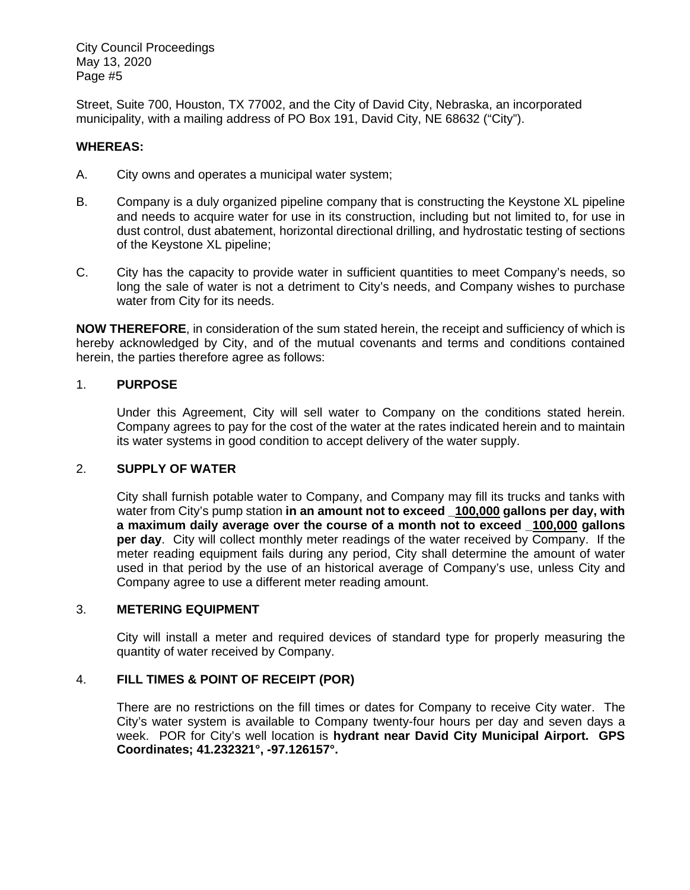Street, Suite 700, Houston, TX 77002, and the City of David City, Nebraska, an incorporated municipality, with a mailing address of PO Box 191, David City, NE 68632 ("City").

# **WHEREAS:**

- A. City owns and operates a municipal water system;
- B. Company is a duly organized pipeline company that is constructing the Keystone XL pipeline and needs to acquire water for use in its construction, including but not limited to, for use in dust control, dust abatement, horizontal directional drilling, and hydrostatic testing of sections of the Keystone XL pipeline;
- C. City has the capacity to provide water in sufficient quantities to meet Company's needs, so long the sale of water is not a detriment to City's needs, and Company wishes to purchase water from City for its needs.

**NOW THEREFORE**, in consideration of the sum stated herein, the receipt and sufficiency of which is hereby acknowledged by City, and of the mutual covenants and terms and conditions contained herein, the parties therefore agree as follows:

# 1. **PURPOSE**

Under this Agreement, City will sell water to Company on the conditions stated herein. Company agrees to pay for the cost of the water at the rates indicated herein and to maintain its water systems in good condition to accept delivery of the water supply.

# 2. **SUPPLY OF WATER**

City shall furnish potable water to Company, and Company may fill its trucks and tanks with water from City's pump station **in an amount not to exceed \_100,000 gallons per day, with a maximum daily average over the course of a month not to exceed \_100,000 gallons per day**. City will collect monthly meter readings of the water received by Company. If the meter reading equipment fails during any period, City shall determine the amount of water used in that period by the use of an historical average of Company's use, unless City and Company agree to use a different meter reading amount.

# 3. **METERING EQUIPMENT**

City will install a meter and required devices of standard type for properly measuring the quantity of water received by Company.

# 4. **FILL TIMES & POINT OF RECEIPT (POR)**

There are no restrictions on the fill times or dates for Company to receive City water. The City's water system is available to Company twenty-four hours per day and seven days a week. POR for City's well location is **hydrant near David City Municipal Airport. GPS Coordinates; 41.232321°, -97.126157°.**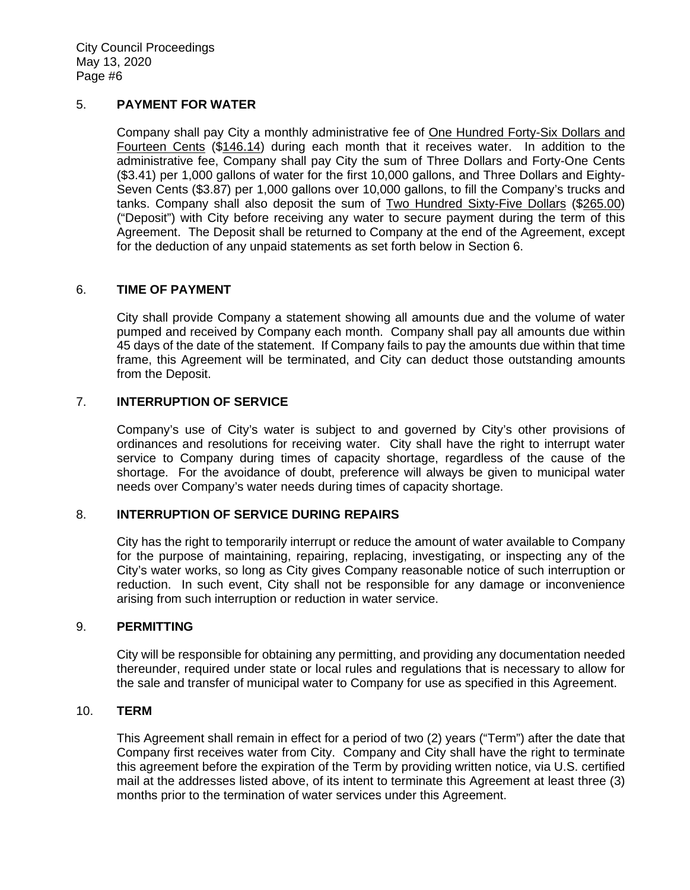# 5. **PAYMENT FOR WATER**

Company shall pay City a monthly administrative fee of One Hundred Forty-Six Dollars and Fourteen Cents (\$146.14) during each month that it receives water. In addition to the administrative fee, Company shall pay City the sum of Three Dollars and Forty-One Cents (\$3.41) per 1,000 gallons of water for the first 10,000 gallons, and Three Dollars and Eighty-Seven Cents (\$3.87) per 1,000 gallons over 10,000 gallons, to fill the Company's trucks and tanks. Company shall also deposit the sum of Two Hundred Sixty-Five Dollars (\$265.00) ("Deposit") with City before receiving any water to secure payment during the term of this Agreement. The Deposit shall be returned to Company at the end of the Agreement, except for the deduction of any unpaid statements as set forth below in Section 6.

# 6. **TIME OF PAYMENT**

City shall provide Company a statement showing all amounts due and the volume of water pumped and received by Company each month. Company shall pay all amounts due within 45 days of the date of the statement. If Company fails to pay the amounts due within that time frame, this Agreement will be terminated, and City can deduct those outstanding amounts from the Deposit.

# 7. **INTERRUPTION OF SERVICE**

Company's use of City's water is subject to and governed by City's other provisions of ordinances and resolutions for receiving water. City shall have the right to interrupt water service to Company during times of capacity shortage, regardless of the cause of the shortage. For the avoidance of doubt, preference will always be given to municipal water needs over Company's water needs during times of capacity shortage.

# 8. **INTERRUPTION OF SERVICE DURING REPAIRS**

City has the right to temporarily interrupt or reduce the amount of water available to Company for the purpose of maintaining, repairing, replacing, investigating, or inspecting any of the City's water works, so long as City gives Company reasonable notice of such interruption or reduction. In such event, City shall not be responsible for any damage or inconvenience arising from such interruption or reduction in water service.

#### 9. **PERMITTING**

City will be responsible for obtaining any permitting, and providing any documentation needed thereunder, required under state or local rules and regulations that is necessary to allow for the sale and transfer of municipal water to Company for use as specified in this Agreement.

#### 10. **TERM**

This Agreement shall remain in effect for a period of two (2) years ("Term") after the date that Company first receives water from City. Company and City shall have the right to terminate this agreement before the expiration of the Term by providing written notice, via U.S. certified mail at the addresses listed above, of its intent to terminate this Agreement at least three (3) months prior to the termination of water services under this Agreement.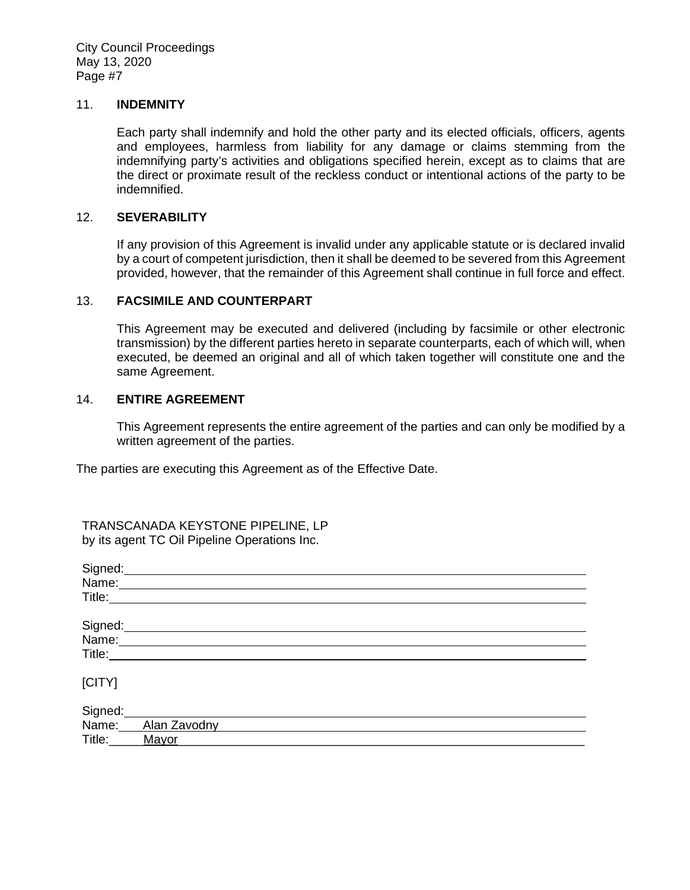#### 11. **INDEMNITY**

Each party shall indemnify and hold the other party and its elected officials, officers, agents and employees, harmless from liability for any damage or claims stemming from the indemnifying party's activities and obligations specified herein, except as to claims that are the direct or proximate result of the reckless conduct or intentional actions of the party to be indemnified.

#### 12. **SEVERABILITY**

If any provision of this Agreement is invalid under any applicable statute or is declared invalid by a court of competent jurisdiction, then it shall be deemed to be severed from this Agreement provided, however, that the remainder of this Agreement shall continue in full force and effect.

# 13. **FACSIMILE AND COUNTERPART**

This Agreement may be executed and delivered (including by facsimile or other electronic transmission) by the different parties hereto in separate counterparts, each of which will, when executed, be deemed an original and all of which taken together will constitute one and the same Agreement.

#### 14. **ENTIRE AGREEMENT**

This Agreement represents the entire agreement of the parties and can only be modified by a written agreement of the parties.

The parties are executing this Agreement as of the Effective Date.

TRANSCANADA KEYSTONE PIPELINE, LP by its agent TC Oil Pipeline Operations Inc.

| Signed:                                                                                                                                                                                                                        |              |
|--------------------------------------------------------------------------------------------------------------------------------------------------------------------------------------------------------------------------------|--------------|
| Name:                                                                                                                                                                                                                          |              |
| Title: The Contract of the Contract of the Contract of the Contract of the Contract of the Contract of the Contract of the Contract of the Contract of the Contract of the Contract of the Contract of the Contract of the Con |              |
|                                                                                                                                                                                                                                |              |
| Signed:                                                                                                                                                                                                                        |              |
| Name:                                                                                                                                                                                                                          |              |
| Title:                                                                                                                                                                                                                         |              |
|                                                                                                                                                                                                                                |              |
| [CITY]                                                                                                                                                                                                                         |              |
|                                                                                                                                                                                                                                |              |
| Signed:                                                                                                                                                                                                                        |              |
| Name:                                                                                                                                                                                                                          | Alan Zavodny |
| Title:                                                                                                                                                                                                                         | Mayor        |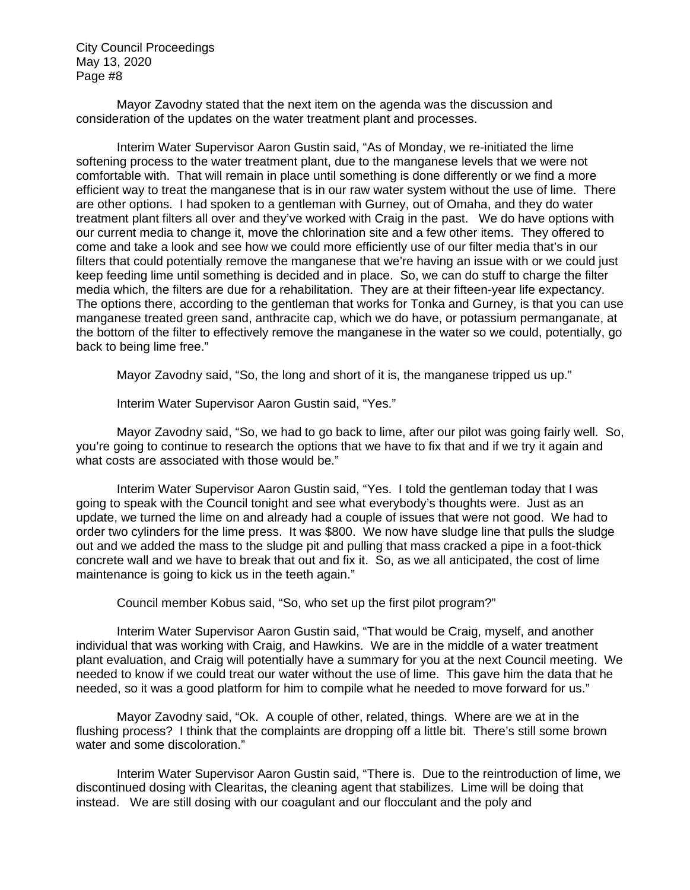Mayor Zavodny stated that the next item on the agenda was the discussion and consideration of the updates on the water treatment plant and processes.

Interim Water Supervisor Aaron Gustin said, "As of Monday, we re-initiated the lime softening process to the water treatment plant, due to the manganese levels that we were not comfortable with. That will remain in place until something is done differently or we find a more efficient way to treat the manganese that is in our raw water system without the use of lime. There are other options. I had spoken to a gentleman with Gurney, out of Omaha, and they do water treatment plant filters all over and they've worked with Craig in the past. We do have options with our current media to change it, move the chlorination site and a few other items. They offered to come and take a look and see how we could more efficiently use of our filter media that's in our filters that could potentially remove the manganese that we're having an issue with or we could just keep feeding lime until something is decided and in place. So, we can do stuff to charge the filter media which, the filters are due for a rehabilitation. They are at their fifteen-year life expectancy. The options there, according to the gentleman that works for Tonka and Gurney, is that you can use manganese treated green sand, anthracite cap, which we do have, or potassium permanganate, at the bottom of the filter to effectively remove the manganese in the water so we could, potentially, go back to being lime free."

Mayor Zavodny said, "So, the long and short of it is, the manganese tripped us up."

Interim Water Supervisor Aaron Gustin said, "Yes."

Mayor Zavodny said, "So, we had to go back to lime, after our pilot was going fairly well. So, you're going to continue to research the options that we have to fix that and if we try it again and what costs are associated with those would be."

Interim Water Supervisor Aaron Gustin said, "Yes. I told the gentleman today that I was going to speak with the Council tonight and see what everybody's thoughts were. Just as an update, we turned the lime on and already had a couple of issues that were not good. We had to order two cylinders for the lime press. It was \$800. We now have sludge line that pulls the sludge out and we added the mass to the sludge pit and pulling that mass cracked a pipe in a foot-thick concrete wall and we have to break that out and fix it. So, as we all anticipated, the cost of lime maintenance is going to kick us in the teeth again."

Council member Kobus said, "So, who set up the first pilot program?"

Interim Water Supervisor Aaron Gustin said, "That would be Craig, myself, and another individual that was working with Craig, and Hawkins. We are in the middle of a water treatment plant evaluation, and Craig will potentially have a summary for you at the next Council meeting. We needed to know if we could treat our water without the use of lime. This gave him the data that he needed, so it was a good platform for him to compile what he needed to move forward for us."

Mayor Zavodny said, "Ok. A couple of other, related, things. Where are we at in the flushing process? I think that the complaints are dropping off a little bit. There's still some brown water and some discoloration."

Interim Water Supervisor Aaron Gustin said, "There is. Due to the reintroduction of lime, we discontinued dosing with Clearitas, the cleaning agent that stabilizes. Lime will be doing that instead. We are still dosing with our coagulant and our flocculant and the poly and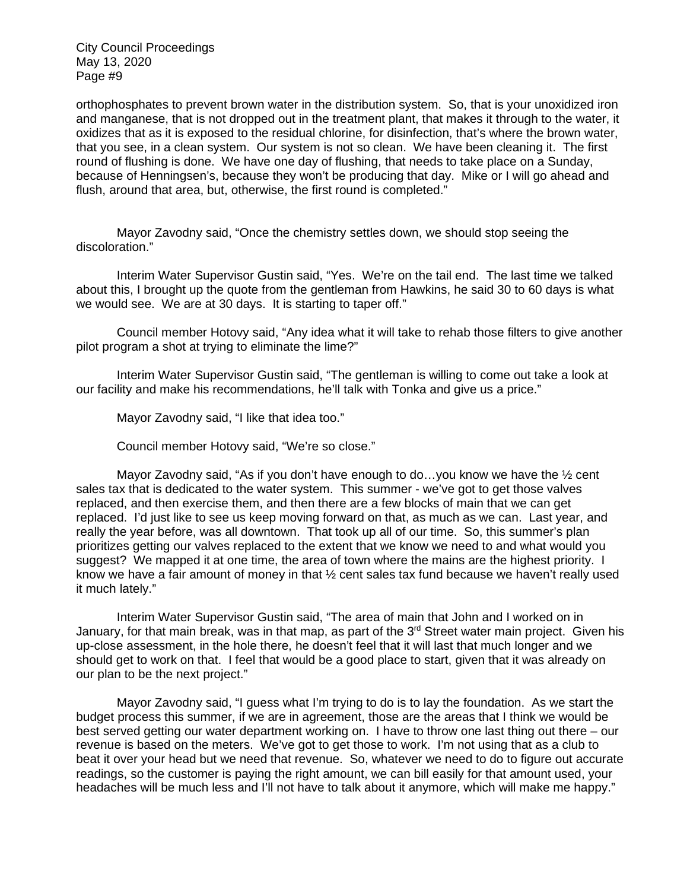orthophosphates to prevent brown water in the distribution system. So, that is your unoxidized iron and manganese, that is not dropped out in the treatment plant, that makes it through to the water, it oxidizes that as it is exposed to the residual chlorine, for disinfection, that's where the brown water, that you see, in a clean system. Our system is not so clean. We have been cleaning it. The first round of flushing is done. We have one day of flushing, that needs to take place on a Sunday, because of Henningsen's, because they won't be producing that day. Mike or I will go ahead and flush, around that area, but, otherwise, the first round is completed."

Mayor Zavodny said, "Once the chemistry settles down, we should stop seeing the discoloration."

Interim Water Supervisor Gustin said, "Yes. We're on the tail end. The last time we talked about this, I brought up the quote from the gentleman from Hawkins, he said 30 to 60 days is what we would see. We are at 30 days. It is starting to taper off."

Council member Hotovy said, "Any idea what it will take to rehab those filters to give another pilot program a shot at trying to eliminate the lime?"

Interim Water Supervisor Gustin said, "The gentleman is willing to come out take a look at our facility and make his recommendations, he'll talk with Tonka and give us a price."

Mayor Zavodny said, "I like that idea too."

Council member Hotovy said, "We're so close."

Mayor Zavodny said, "As if you don't have enough to do...you know we have the 1/2 cent sales tax that is dedicated to the water system. This summer - we've got to get those valves replaced, and then exercise them, and then there are a few blocks of main that we can get replaced. I'd just like to see us keep moving forward on that, as much as we can. Last year, and really the year before, was all downtown. That took up all of our time. So, this summer's plan prioritizes getting our valves replaced to the extent that we know we need to and what would you suggest? We mapped it at one time, the area of town where the mains are the highest priority. I know we have a fair amount of money in that ½ cent sales tax fund because we haven't really used it much lately."

Interim Water Supervisor Gustin said, "The area of main that John and I worked on in January, for that main break, was in that map, as part of the 3<sup>rd</sup> Street water main project. Given his up-close assessment, in the hole there, he doesn't feel that it will last that much longer and we should get to work on that. I feel that would be a good place to start, given that it was already on our plan to be the next project."

Mayor Zavodny said, "I guess what I'm trying to do is to lay the foundation. As we start the budget process this summer, if we are in agreement, those are the areas that I think we would be best served getting our water department working on. I have to throw one last thing out there – our revenue is based on the meters. We've got to get those to work. I'm not using that as a club to beat it over your head but we need that revenue. So, whatever we need to do to figure out accurate readings, so the customer is paying the right amount, we can bill easily for that amount used, your headaches will be much less and I'll not have to talk about it anymore, which will make me happy."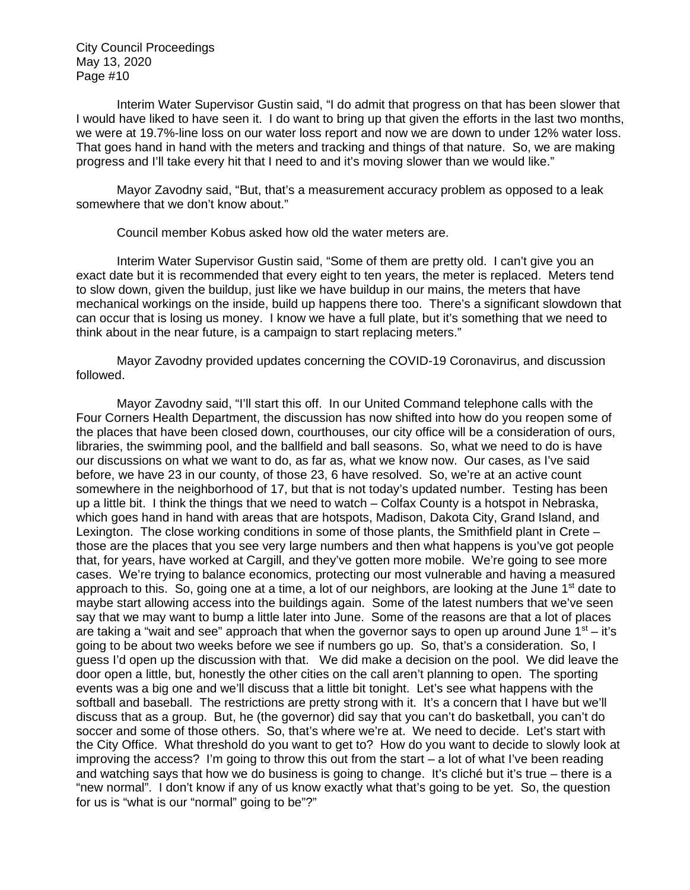Interim Water Supervisor Gustin said, "I do admit that progress on that has been slower that I would have liked to have seen it. I do want to bring up that given the efforts in the last two months, we were at 19.7%-line loss on our water loss report and now we are down to under 12% water loss. That goes hand in hand with the meters and tracking and things of that nature. So, we are making progress and I'll take every hit that I need to and it's moving slower than we would like."

Mayor Zavodny said, "But, that's a measurement accuracy problem as opposed to a leak somewhere that we don't know about."

Council member Kobus asked how old the water meters are.

Interim Water Supervisor Gustin said, "Some of them are pretty old. I can't give you an exact date but it is recommended that every eight to ten years, the meter is replaced. Meters tend to slow down, given the buildup, just like we have buildup in our mains, the meters that have mechanical workings on the inside, build up happens there too. There's a significant slowdown that can occur that is losing us money. I know we have a full plate, but it's something that we need to think about in the near future, is a campaign to start replacing meters."

Mayor Zavodny provided updates concerning the COVID-19 Coronavirus, and discussion followed.

Mayor Zavodny said, "I'll start this off. In our United Command telephone calls with the Four Corners Health Department, the discussion has now shifted into how do you reopen some of the places that have been closed down, courthouses, our city office will be a consideration of ours, libraries, the swimming pool, and the ballfield and ball seasons. So, what we need to do is have our discussions on what we want to do, as far as, what we know now. Our cases, as I've said before, we have 23 in our county, of those 23, 6 have resolved. So, we're at an active count somewhere in the neighborhood of 17, but that is not today's updated number. Testing has been up a little bit. I think the things that we need to watch – Colfax County is a hotspot in Nebraska, which goes hand in hand with areas that are hotspots, Madison, Dakota City, Grand Island, and Lexington. The close working conditions in some of those plants, the Smithfield plant in Crete – those are the places that you see very large numbers and then what happens is you've got people that, for years, have worked at Cargill, and they've gotten more mobile. We're going to see more cases. We're trying to balance economics, protecting our most vulnerable and having a measured approach to this. So, going one at a time, a lot of our neighbors, are looking at the June  $1<sup>st</sup>$  date to maybe start allowing access into the buildings again. Some of the latest numbers that we've seen say that we may want to bump a little later into June. Some of the reasons are that a lot of places are taking a "wait and see" approach that when the governor says to open up around June  $1<sup>st</sup> - it's$ going to be about two weeks before we see if numbers go up. So, that's a consideration. So, I guess I'd open up the discussion with that. We did make a decision on the pool. We did leave the door open a little, but, honestly the other cities on the call aren't planning to open. The sporting events was a big one and we'll discuss that a little bit tonight. Let's see what happens with the softball and baseball. The restrictions are pretty strong with it. It's a concern that I have but we'll discuss that as a group. But, he (the governor) did say that you can't do basketball, you can't do soccer and some of those others. So, that's where we're at. We need to decide. Let's start with the City Office. What threshold do you want to get to? How do you want to decide to slowly look at improving the access? I'm going to throw this out from the start – a lot of what I've been reading and watching says that how we do business is going to change. It's cliché but it's true – there is a "new normal". I don't know if any of us know exactly what that's going to be yet. So, the question for us is "what is our "normal" going to be"?"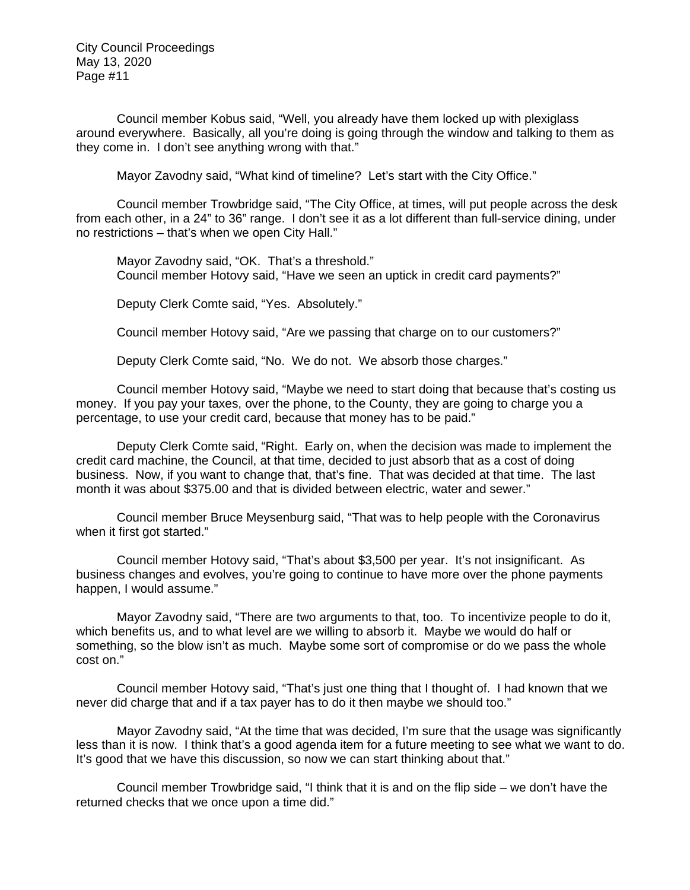Council member Kobus said, "Well, you already have them locked up with plexiglass around everywhere. Basically, all you're doing is going through the window and talking to them as they come in. I don't see anything wrong with that."

Mayor Zavodny said, "What kind of timeline? Let's start with the City Office."

Council member Trowbridge said, "The City Office, at times, will put people across the desk from each other, in a 24" to 36" range. I don't see it as a lot different than full-service dining, under no restrictions – that's when we open City Hall."

Mayor Zavodny said, "OK. That's a threshold." Council member Hotovy said, "Have we seen an uptick in credit card payments?"

Deputy Clerk Comte said, "Yes. Absolutely."

Council member Hotovy said, "Are we passing that charge on to our customers?"

Deputy Clerk Comte said, "No. We do not. We absorb those charges."

Council member Hotovy said, "Maybe we need to start doing that because that's costing us money. If you pay your taxes, over the phone, to the County, they are going to charge you a percentage, to use your credit card, because that money has to be paid."

Deputy Clerk Comte said, "Right. Early on, when the decision was made to implement the credit card machine, the Council, at that time, decided to just absorb that as a cost of doing business. Now, if you want to change that, that's fine. That was decided at that time. The last month it was about \$375.00 and that is divided between electric, water and sewer."

Council member Bruce Meysenburg said, "That was to help people with the Coronavirus when it first got started."

Council member Hotovy said, "That's about \$3,500 per year. It's not insignificant. As business changes and evolves, you're going to continue to have more over the phone payments happen, I would assume."

Mayor Zavodny said, "There are two arguments to that, too. To incentivize people to do it, which benefits us, and to what level are we willing to absorb it. Maybe we would do half or something, so the blow isn't as much. Maybe some sort of compromise or do we pass the whole cost on."

Council member Hotovy said, "That's just one thing that I thought of. I had known that we never did charge that and if a tax payer has to do it then maybe we should too."

Mayor Zavodny said, "At the time that was decided, I'm sure that the usage was significantly less than it is now. I think that's a good agenda item for a future meeting to see what we want to do. It's good that we have this discussion, so now we can start thinking about that."

Council member Trowbridge said, "I think that it is and on the flip side – we don't have the returned checks that we once upon a time did."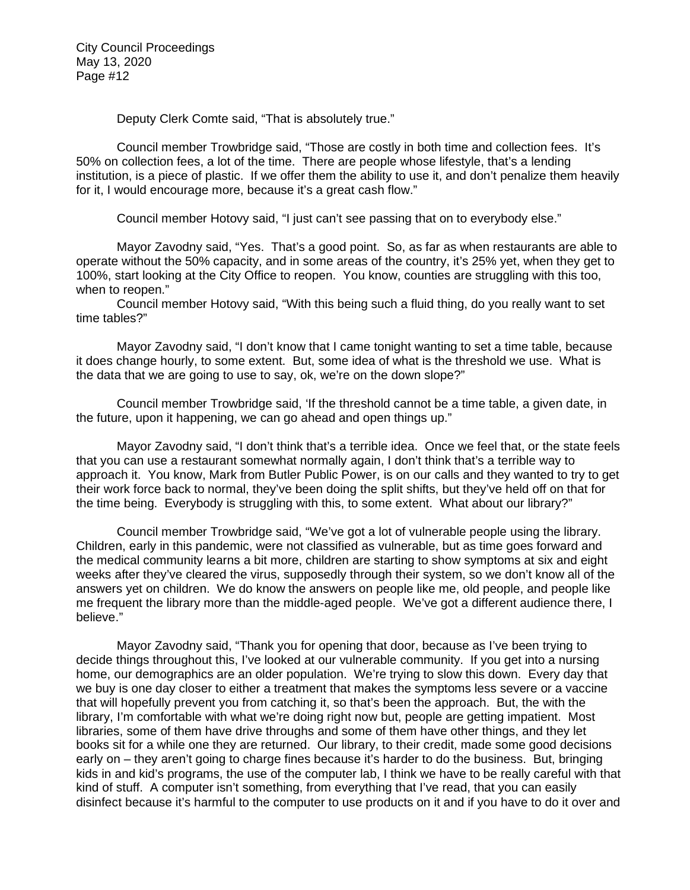Deputy Clerk Comte said, "That is absolutely true."

Council member Trowbridge said, "Those are costly in both time and collection fees. It's 50% on collection fees, a lot of the time. There are people whose lifestyle, that's a lending institution, is a piece of plastic. If we offer them the ability to use it, and don't penalize them heavily for it, I would encourage more, because it's a great cash flow."

Council member Hotovy said, "I just can't see passing that on to everybody else."

Mayor Zavodny said, "Yes. That's a good point. So, as far as when restaurants are able to operate without the 50% capacity, and in some areas of the country, it's 25% yet, when they get to 100%, start looking at the City Office to reopen. You know, counties are struggling with this too, when to reopen."

Council member Hotovy said, "With this being such a fluid thing, do you really want to set time tables?"

Mayor Zavodny said, "I don't know that I came tonight wanting to set a time table, because it does change hourly, to some extent. But, some idea of what is the threshold we use. What is the data that we are going to use to say, ok, we're on the down slope?"

Council member Trowbridge said, 'If the threshold cannot be a time table, a given date, in the future, upon it happening, we can go ahead and open things up."

Mayor Zavodny said, "I don't think that's a terrible idea. Once we feel that, or the state feels that you can use a restaurant somewhat normally again, I don't think that's a terrible way to approach it. You know, Mark from Butler Public Power, is on our calls and they wanted to try to get their work force back to normal, they've been doing the split shifts, but they've held off on that for the time being. Everybody is struggling with this, to some extent. What about our library?"

Council member Trowbridge said, "We've got a lot of vulnerable people using the library. Children, early in this pandemic, were not classified as vulnerable, but as time goes forward and the medical community learns a bit more, children are starting to show symptoms at six and eight weeks after they've cleared the virus, supposedly through their system, so we don't know all of the answers yet on children. We do know the answers on people like me, old people, and people like me frequent the library more than the middle-aged people. We've got a different audience there, I believe."

Mayor Zavodny said, "Thank you for opening that door, because as I've been trying to decide things throughout this, I've looked at our vulnerable community. If you get into a nursing home, our demographics are an older population. We're trying to slow this down. Every day that we buy is one day closer to either a treatment that makes the symptoms less severe or a vaccine that will hopefully prevent you from catching it, so that's been the approach. But, the with the library, I'm comfortable with what we're doing right now but, people are getting impatient. Most libraries, some of them have drive throughs and some of them have other things, and they let books sit for a while one they are returned. Our library, to their credit, made some good decisions early on – they aren't going to charge fines because it's harder to do the business. But, bringing kids in and kid's programs, the use of the computer lab, I think we have to be really careful with that kind of stuff. A computer isn't something, from everything that I've read, that you can easily disinfect because it's harmful to the computer to use products on it and if you have to do it over and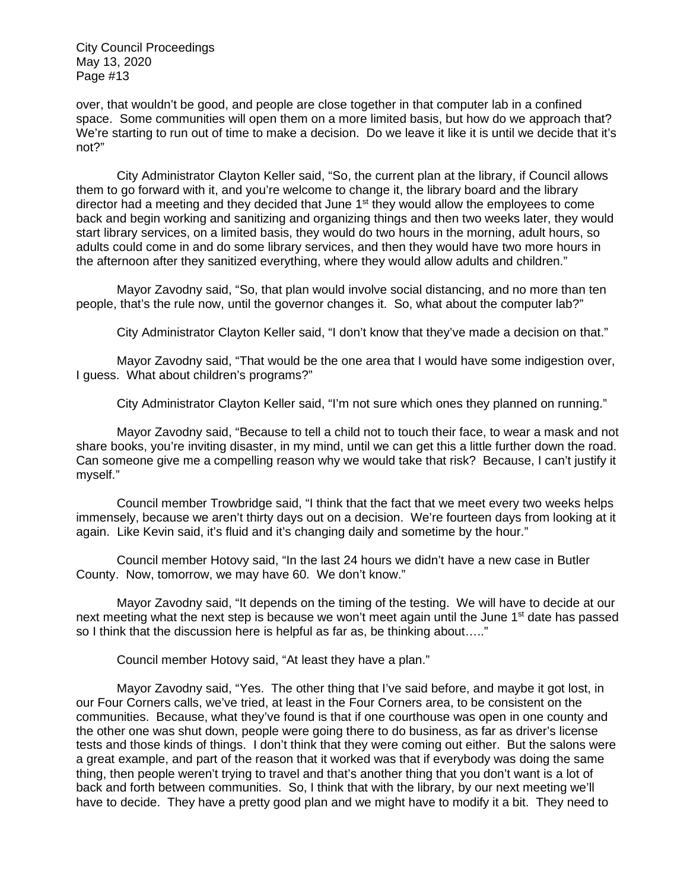over, that wouldn't be good, and people are close together in that computer lab in a confined space. Some communities will open them on a more limited basis, but how do we approach that? We're starting to run out of time to make a decision. Do we leave it like it is until we decide that it's not?"

City Administrator Clayton Keller said, "So, the current plan at the library, if Council allows them to go forward with it, and you're welcome to change it, the library board and the library director had a meeting and they decided that June  $1<sup>st</sup>$  they would allow the employees to come back and begin working and sanitizing and organizing things and then two weeks later, they would start library services, on a limited basis, they would do two hours in the morning, adult hours, so adults could come in and do some library services, and then they would have two more hours in the afternoon after they sanitized everything, where they would allow adults and children."

Mayor Zavodny said, "So, that plan would involve social distancing, and no more than ten people, that's the rule now, until the governor changes it. So, what about the computer lab?"

City Administrator Clayton Keller said, "I don't know that they've made a decision on that."

Mayor Zavodny said, "That would be the one area that I would have some indigestion over, I guess. What about children's programs?"

City Administrator Clayton Keller said, "I'm not sure which ones they planned on running."

Mayor Zavodny said, "Because to tell a child not to touch their face, to wear a mask and not share books, you're inviting disaster, in my mind, until we can get this a little further down the road. Can someone give me a compelling reason why we would take that risk? Because, I can't justify it myself."

Council member Trowbridge said, "I think that the fact that we meet every two weeks helps immensely, because we aren't thirty days out on a decision. We're fourteen days from looking at it again. Like Kevin said, it's fluid and it's changing daily and sometime by the hour."

Council member Hotovy said, "In the last 24 hours we didn't have a new case in Butler County. Now, tomorrow, we may have 60. We don't know."

Mayor Zavodny said, "It depends on the timing of the testing. We will have to decide at our next meeting what the next step is because we won't meet again until the June  $1<sup>st</sup>$  date has passed so I think that the discussion here is helpful as far as, be thinking about….."

Council member Hotovy said, "At least they have a plan."

Mayor Zavodny said, "Yes. The other thing that I've said before, and maybe it got lost, in our Four Corners calls, we've tried, at least in the Four Corners area, to be consistent on the communities. Because, what they've found is that if one courthouse was open in one county and the other one was shut down, people were going there to do business, as far as driver's license tests and those kinds of things. I don't think that they were coming out either. But the salons were a great example, and part of the reason that it worked was that if everybody was doing the same thing, then people weren't trying to travel and that's another thing that you don't want is a lot of back and forth between communities. So, I think that with the library, by our next meeting we'll have to decide. They have a pretty good plan and we might have to modify it a bit. They need to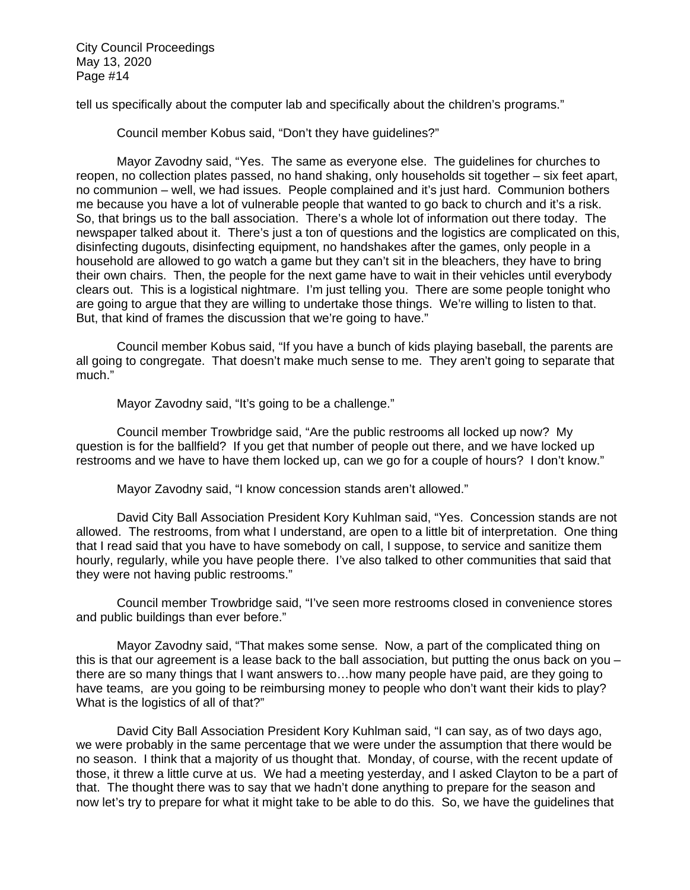tell us specifically about the computer lab and specifically about the children's programs."

Council member Kobus said, "Don't they have guidelines?"

Mayor Zavodny said, "Yes. The same as everyone else. The guidelines for churches to reopen, no collection plates passed, no hand shaking, only households sit together – six feet apart, no communion – well, we had issues. People complained and it's just hard. Communion bothers me because you have a lot of vulnerable people that wanted to go back to church and it's a risk. So, that brings us to the ball association. There's a whole lot of information out there today. The newspaper talked about it. There's just a ton of questions and the logistics are complicated on this, disinfecting dugouts, disinfecting equipment, no handshakes after the games, only people in a household are allowed to go watch a game but they can't sit in the bleachers, they have to bring their own chairs. Then, the people for the next game have to wait in their vehicles until everybody clears out. This is a logistical nightmare. I'm just telling you. There are some people tonight who are going to argue that they are willing to undertake those things. We're willing to listen to that. But, that kind of frames the discussion that we're going to have."

Council member Kobus said, "If you have a bunch of kids playing baseball, the parents are all going to congregate. That doesn't make much sense to me. They aren't going to separate that much."

Mayor Zavodny said, "It's going to be a challenge."

Council member Trowbridge said, "Are the public restrooms all locked up now? My question is for the ballfield? If you get that number of people out there, and we have locked up restrooms and we have to have them locked up, can we go for a couple of hours? I don't know."

Mayor Zavodny said, "I know concession stands aren't allowed."

David City Ball Association President Kory Kuhlman said, "Yes. Concession stands are not allowed. The restrooms, from what I understand, are open to a little bit of interpretation. One thing that I read said that you have to have somebody on call, I suppose, to service and sanitize them hourly, regularly, while you have people there. I've also talked to other communities that said that they were not having public restrooms."

Council member Trowbridge said, "I've seen more restrooms closed in convenience stores and public buildings than ever before."

Mayor Zavodny said, "That makes some sense. Now, a part of the complicated thing on this is that our agreement is a lease back to the ball association, but putting the onus back on you – there are so many things that I want answers to…how many people have paid, are they going to have teams, are you going to be reimbursing money to people who don't want their kids to play? What is the logistics of all of that?"

David City Ball Association President Kory Kuhlman said, "I can say, as of two days ago, we were probably in the same percentage that we were under the assumption that there would be no season. I think that a majority of us thought that. Monday, of course, with the recent update of those, it threw a little curve at us. We had a meeting yesterday, and I asked Clayton to be a part of that. The thought there was to say that we hadn't done anything to prepare for the season and now let's try to prepare for what it might take to be able to do this. So, we have the guidelines that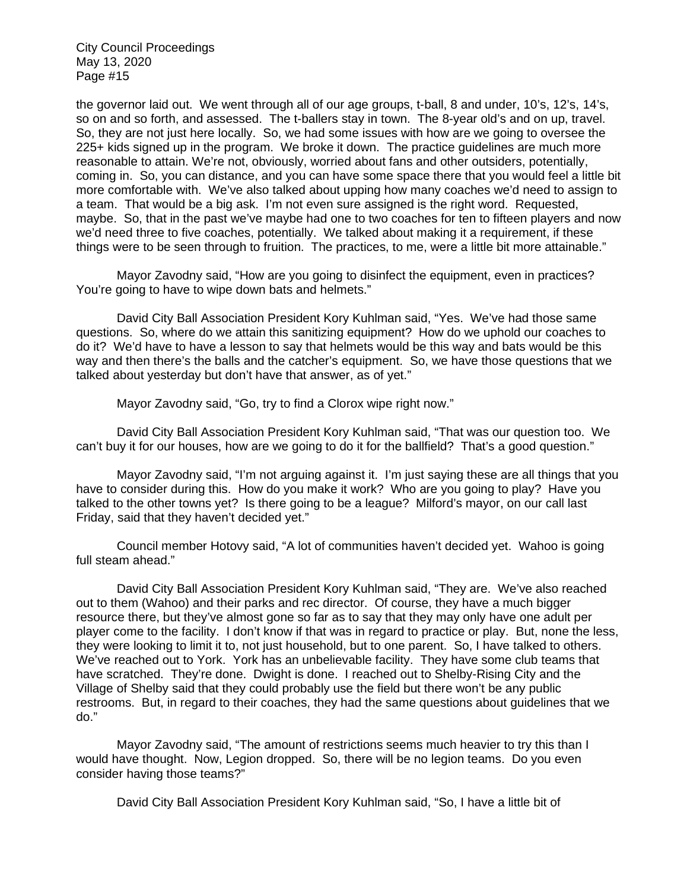the governor laid out. We went through all of our age groups, t-ball, 8 and under, 10's, 12's, 14's, so on and so forth, and assessed. The t-ballers stay in town. The 8-year old's and on up, travel. So, they are not just here locally. So, we had some issues with how are we going to oversee the 225+ kids signed up in the program. We broke it down. The practice guidelines are much more reasonable to attain. We're not, obviously, worried about fans and other outsiders, potentially, coming in. So, you can distance, and you can have some space there that you would feel a little bit more comfortable with. We've also talked about upping how many coaches we'd need to assign to a team. That would be a big ask. I'm not even sure assigned is the right word. Requested, maybe. So, that in the past we've maybe had one to two coaches for ten to fifteen players and now we'd need three to five coaches, potentially. We talked about making it a requirement, if these things were to be seen through to fruition. The practices, to me, were a little bit more attainable."

Mayor Zavodny said, "How are you going to disinfect the equipment, even in practices? You're going to have to wipe down bats and helmets."

David City Ball Association President Kory Kuhlman said, "Yes. We've had those same questions. So, where do we attain this sanitizing equipment? How do we uphold our coaches to do it? We'd have to have a lesson to say that helmets would be this way and bats would be this way and then there's the balls and the catcher's equipment. So, we have those questions that we talked about yesterday but don't have that answer, as of yet."

Mayor Zavodny said, "Go, try to find a Clorox wipe right now."

David City Ball Association President Kory Kuhlman said, "That was our question too. We can't buy it for our houses, how are we going to do it for the ballfield? That's a good question."

Mayor Zavodny said, "I'm not arguing against it. I'm just saying these are all things that you have to consider during this. How do you make it work? Who are you going to play? Have you talked to the other towns yet? Is there going to be a league? Milford's mayor, on our call last Friday, said that they haven't decided yet."

Council member Hotovy said, "A lot of communities haven't decided yet. Wahoo is going full steam ahead."

David City Ball Association President Kory Kuhlman said, "They are. We've also reached out to them (Wahoo) and their parks and rec director. Of course, they have a much bigger resource there, but they've almost gone so far as to say that they may only have one adult per player come to the facility. I don't know if that was in regard to practice or play. But, none the less, they were looking to limit it to, not just household, but to one parent. So, I have talked to others. We've reached out to York. York has an unbelievable facility. They have some club teams that have scratched. They're done. Dwight is done. I reached out to Shelby-Rising City and the Village of Shelby said that they could probably use the field but there won't be any public restrooms. But, in regard to their coaches, they had the same questions about guidelines that we do."

Mayor Zavodny said, "The amount of restrictions seems much heavier to try this than I would have thought. Now, Legion dropped. So, there will be no legion teams. Do you even consider having those teams?"

David City Ball Association President Kory Kuhlman said, "So, I have a little bit of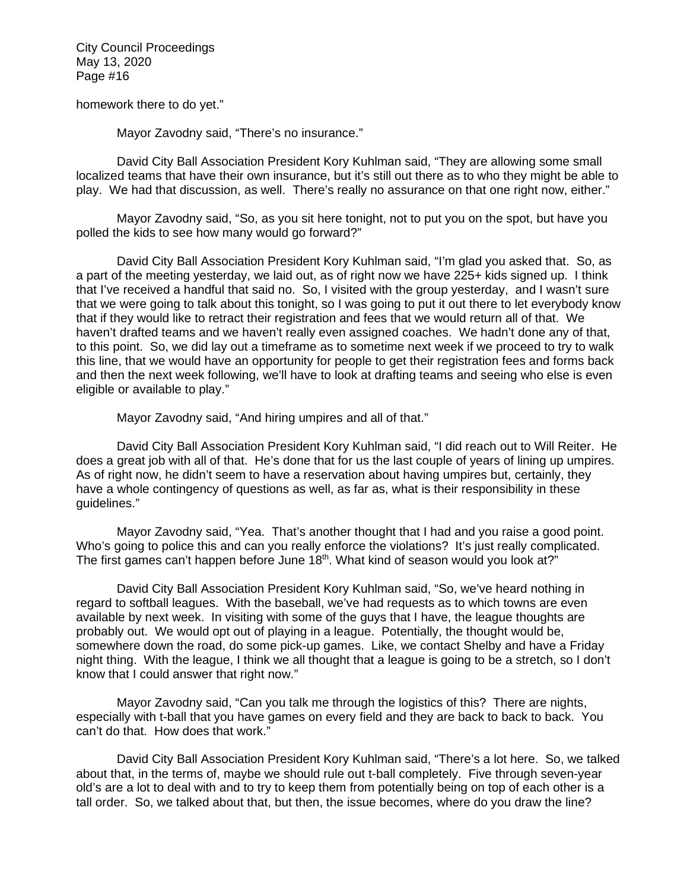homework there to do yet."

Mayor Zavodny said, "There's no insurance."

David City Ball Association President Kory Kuhlman said, "They are allowing some small localized teams that have their own insurance, but it's still out there as to who they might be able to play. We had that discussion, as well. There's really no assurance on that one right now, either."

Mayor Zavodny said, "So, as you sit here tonight, not to put you on the spot, but have you polled the kids to see how many would go forward?"

David City Ball Association President Kory Kuhlman said, "I'm glad you asked that. So, as a part of the meeting yesterday, we laid out, as of right now we have 225+ kids signed up. I think that I've received a handful that said no. So, I visited with the group yesterday, and I wasn't sure that we were going to talk about this tonight, so I was going to put it out there to let everybody know that if they would like to retract their registration and fees that we would return all of that. We haven't drafted teams and we haven't really even assigned coaches. We hadn't done any of that, to this point. So, we did lay out a timeframe as to sometime next week if we proceed to try to walk this line, that we would have an opportunity for people to get their registration fees and forms back and then the next week following, we'll have to look at drafting teams and seeing who else is even eligible or available to play."

Mayor Zavodny said, "And hiring umpires and all of that."

David City Ball Association President Kory Kuhlman said, "I did reach out to Will Reiter. He does a great job with all of that. He's done that for us the last couple of years of lining up umpires. As of right now, he didn't seem to have a reservation about having umpires but, certainly, they have a whole contingency of questions as well, as far as, what is their responsibility in these guidelines."

Mayor Zavodny said, "Yea. That's another thought that I had and you raise a good point. Who's going to police this and can you really enforce the violations? It's just really complicated. The first games can't happen before June  $18<sup>th</sup>$ . What kind of season would you look at?"

David City Ball Association President Kory Kuhlman said, "So, we've heard nothing in regard to softball leagues. With the baseball, we've had requests as to which towns are even available by next week. In visiting with some of the guys that I have, the league thoughts are probably out. We would opt out of playing in a league. Potentially, the thought would be, somewhere down the road, do some pick-up games. Like, we contact Shelby and have a Friday night thing. With the league, I think we all thought that a league is going to be a stretch, so I don't know that I could answer that right now."

Mayor Zavodny said, "Can you talk me through the logistics of this? There are nights, especially with t-ball that you have games on every field and they are back to back to back. You can't do that. How does that work."

David City Ball Association President Kory Kuhlman said, "There's a lot here. So, we talked about that, in the terms of, maybe we should rule out t-ball completely. Five through seven-year old's are a lot to deal with and to try to keep them from potentially being on top of each other is a tall order. So, we talked about that, but then, the issue becomes, where do you draw the line?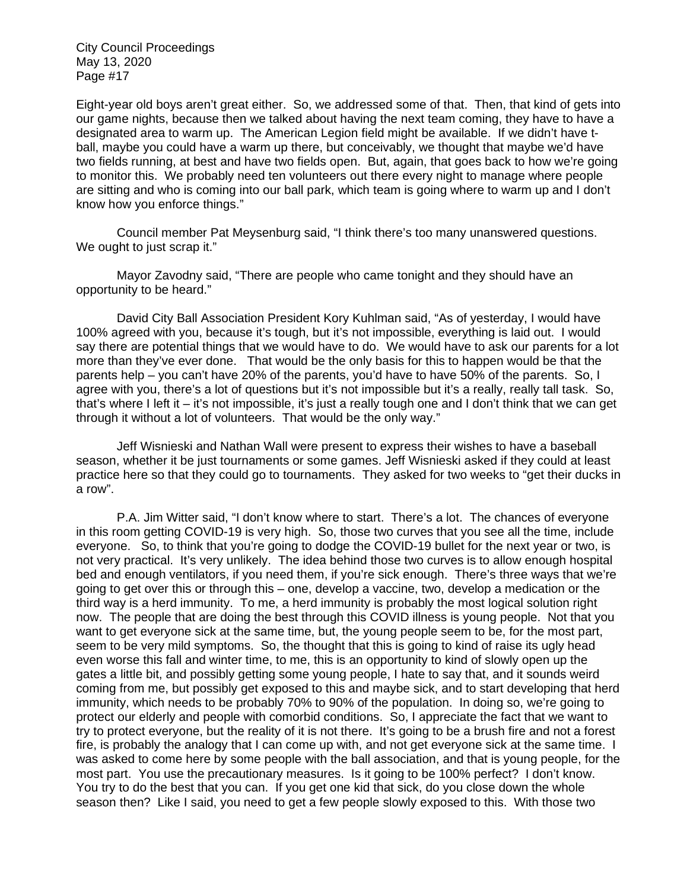Eight-year old boys aren't great either. So, we addressed some of that. Then, that kind of gets into our game nights, because then we talked about having the next team coming, they have to have a designated area to warm up. The American Legion field might be available. If we didn't have tball, maybe you could have a warm up there, but conceivably, we thought that maybe we'd have two fields running, at best and have two fields open. But, again, that goes back to how we're going to monitor this. We probably need ten volunteers out there every night to manage where people are sitting and who is coming into our ball park, which team is going where to warm up and I don't know how you enforce things."

Council member Pat Meysenburg said, "I think there's too many unanswered questions. We ought to just scrap it."

Mayor Zavodny said, "There are people who came tonight and they should have an opportunity to be heard."

David City Ball Association President Kory Kuhlman said, "As of yesterday, I would have 100% agreed with you, because it's tough, but it's not impossible, everything is laid out. I would say there are potential things that we would have to do. We would have to ask our parents for a lot more than they've ever done. That would be the only basis for this to happen would be that the parents help – you can't have 20% of the parents, you'd have to have 50% of the parents. So, I agree with you, there's a lot of questions but it's not impossible but it's a really, really tall task. So, that's where I left it – it's not impossible, it's just a really tough one and I don't think that we can get through it without a lot of volunteers. That would be the only way."

Jeff Wisnieski and Nathan Wall were present to express their wishes to have a baseball season, whether it be just tournaments or some games. Jeff Wisnieski asked if they could at least practice here so that they could go to tournaments. They asked for two weeks to "get their ducks in a row".

P.A. Jim Witter said, "I don't know where to start. There's a lot. The chances of everyone in this room getting COVID-19 is very high. So, those two curves that you see all the time, include everyone. So, to think that you're going to dodge the COVID-19 bullet for the next year or two, is not very practical. It's very unlikely. The idea behind those two curves is to allow enough hospital bed and enough ventilators, if you need them, if you're sick enough. There's three ways that we're going to get over this or through this – one, develop a vaccine, two, develop a medication or the third way is a herd immunity. To me, a herd immunity is probably the most logical solution right now. The people that are doing the best through this COVID illness is young people. Not that you want to get everyone sick at the same time, but, the young people seem to be, for the most part, seem to be very mild symptoms. So, the thought that this is going to kind of raise its ugly head even worse this fall and winter time, to me, this is an opportunity to kind of slowly open up the gates a little bit, and possibly getting some young people, I hate to say that, and it sounds weird coming from me, but possibly get exposed to this and maybe sick, and to start developing that herd immunity, which needs to be probably 70% to 90% of the population. In doing so, we're going to protect our elderly and people with comorbid conditions. So, I appreciate the fact that we want to try to protect everyone, but the reality of it is not there. It's going to be a brush fire and not a forest fire, is probably the analogy that I can come up with, and not get everyone sick at the same time. I was asked to come here by some people with the ball association, and that is young people, for the most part. You use the precautionary measures. Is it going to be 100% perfect? I don't know. You try to do the best that you can. If you get one kid that sick, do you close down the whole season then? Like I said, you need to get a few people slowly exposed to this. With those two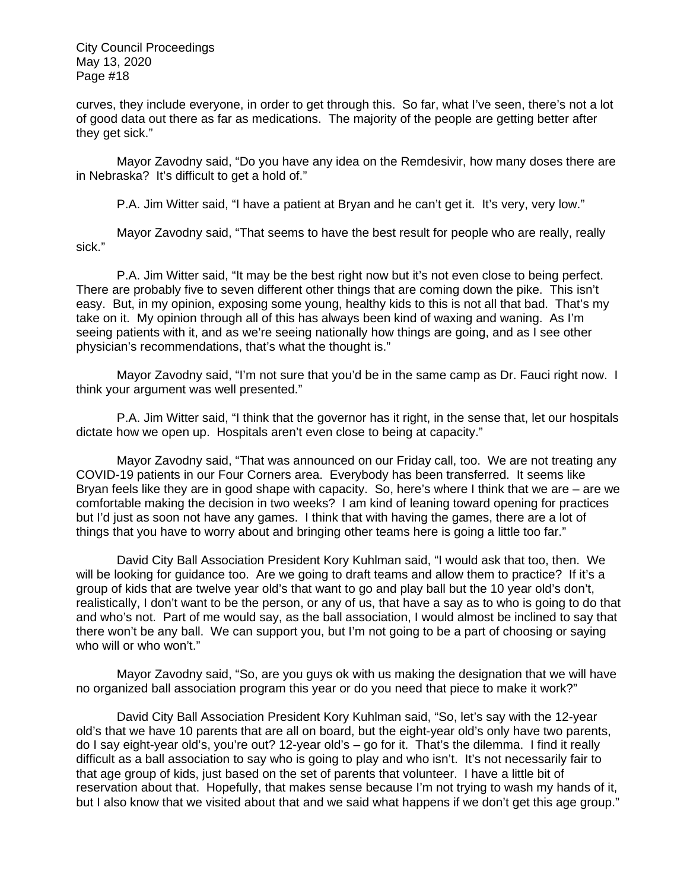curves, they include everyone, in order to get through this. So far, what I've seen, there's not a lot of good data out there as far as medications. The majority of the people are getting better after they get sick."

Mayor Zavodny said, "Do you have any idea on the Remdesivir, how many doses there are in Nebraska? It's difficult to get a hold of."

P.A. Jim Witter said, "I have a patient at Bryan and he can't get it. It's very, very low."

Mayor Zavodny said, "That seems to have the best result for people who are really, really sick."

P.A. Jim Witter said, "It may be the best right now but it's not even close to being perfect. There are probably five to seven different other things that are coming down the pike. This isn't easy. But, in my opinion, exposing some young, healthy kids to this is not all that bad. That's my take on it. My opinion through all of this has always been kind of waxing and waning. As I'm seeing patients with it, and as we're seeing nationally how things are going, and as I see other physician's recommendations, that's what the thought is."

Mayor Zavodny said, "I'm not sure that you'd be in the same camp as Dr. Fauci right now. I think your argument was well presented."

P.A. Jim Witter said, "I think that the governor has it right, in the sense that, let our hospitals dictate how we open up. Hospitals aren't even close to being at capacity."

Mayor Zavodny said, "That was announced on our Friday call, too. We are not treating any COVID-19 patients in our Four Corners area. Everybody has been transferred. It seems like Bryan feels like they are in good shape with capacity. So, here's where I think that we are – are we comfortable making the decision in two weeks? I am kind of leaning toward opening for practices but I'd just as soon not have any games. I think that with having the games, there are a lot of things that you have to worry about and bringing other teams here is going a little too far."

David City Ball Association President Kory Kuhlman said, "I would ask that too, then. We will be looking for guidance too. Are we going to draft teams and allow them to practice? If it's a group of kids that are twelve year old's that want to go and play ball but the 10 year old's don't, realistically, I don't want to be the person, or any of us, that have a say as to who is going to do that and who's not. Part of me would say, as the ball association, I would almost be inclined to say that there won't be any ball. We can support you, but I'm not going to be a part of choosing or saying who will or who won't."

Mayor Zavodny said, "So, are you guys ok with us making the designation that we will have no organized ball association program this year or do you need that piece to make it work?"

David City Ball Association President Kory Kuhlman said, "So, let's say with the 12-year old's that we have 10 parents that are all on board, but the eight-year old's only have two parents, do I say eight-year old's, you're out? 12-year old's – go for it. That's the dilemma. I find it really difficult as a ball association to say who is going to play and who isn't. It's not necessarily fair to that age group of kids, just based on the set of parents that volunteer. I have a little bit of reservation about that. Hopefully, that makes sense because I'm not trying to wash my hands of it, but I also know that we visited about that and we said what happens if we don't get this age group."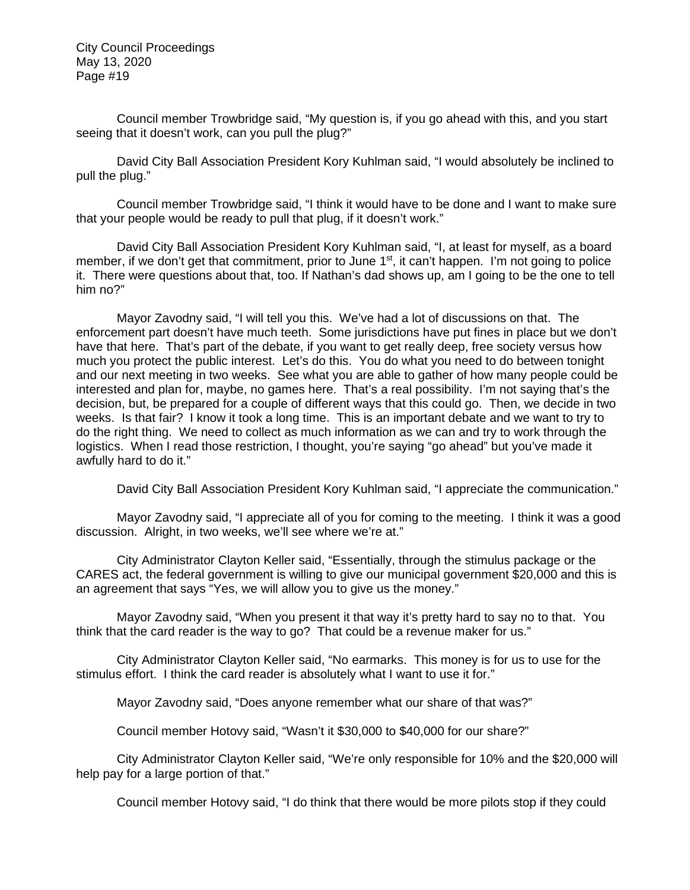Council member Trowbridge said, "My question is, if you go ahead with this, and you start seeing that it doesn't work, can you pull the plug?"

David City Ball Association President Kory Kuhlman said, "I would absolutely be inclined to pull the plug."

Council member Trowbridge said, "I think it would have to be done and I want to make sure that your people would be ready to pull that plug, if it doesn't work."

David City Ball Association President Kory Kuhlman said, "I, at least for myself, as a board member, if we don't get that commitment, prior to June 1<sup>st</sup>, it can't happen. I'm not going to police it. There were questions about that, too. If Nathan's dad shows up, am I going to be the one to tell him no?"

Mayor Zavodny said, "I will tell you this. We've had a lot of discussions on that. The enforcement part doesn't have much teeth. Some jurisdictions have put fines in place but we don't have that here. That's part of the debate, if you want to get really deep, free society versus how much you protect the public interest. Let's do this. You do what you need to do between tonight and our next meeting in two weeks. See what you are able to gather of how many people could be interested and plan for, maybe, no games here. That's a real possibility. I'm not saying that's the decision, but, be prepared for a couple of different ways that this could go. Then, we decide in two weeks. Is that fair? I know it took a long time. This is an important debate and we want to try to do the right thing. We need to collect as much information as we can and try to work through the logistics. When I read those restriction, I thought, you're saying "go ahead" but you've made it awfully hard to do it."

David City Ball Association President Kory Kuhlman said, "I appreciate the communication."

Mayor Zavodny said, "I appreciate all of you for coming to the meeting. I think it was a good discussion. Alright, in two weeks, we'll see where we're at."

City Administrator Clayton Keller said, "Essentially, through the stimulus package or the CARES act, the federal government is willing to give our municipal government \$20,000 and this is an agreement that says "Yes, we will allow you to give us the money."

Mayor Zavodny said, "When you present it that way it's pretty hard to say no to that. You think that the card reader is the way to go? That could be a revenue maker for us."

City Administrator Clayton Keller said, "No earmarks. This money is for us to use for the stimulus effort. I think the card reader is absolutely what I want to use it for."

Mayor Zavodny said, "Does anyone remember what our share of that was?"

Council member Hotovy said, "Wasn't it \$30,000 to \$40,000 for our share?"

City Administrator Clayton Keller said, "We're only responsible for 10% and the \$20,000 will help pay for a large portion of that."

Council member Hotovy said, "I do think that there would be more pilots stop if they could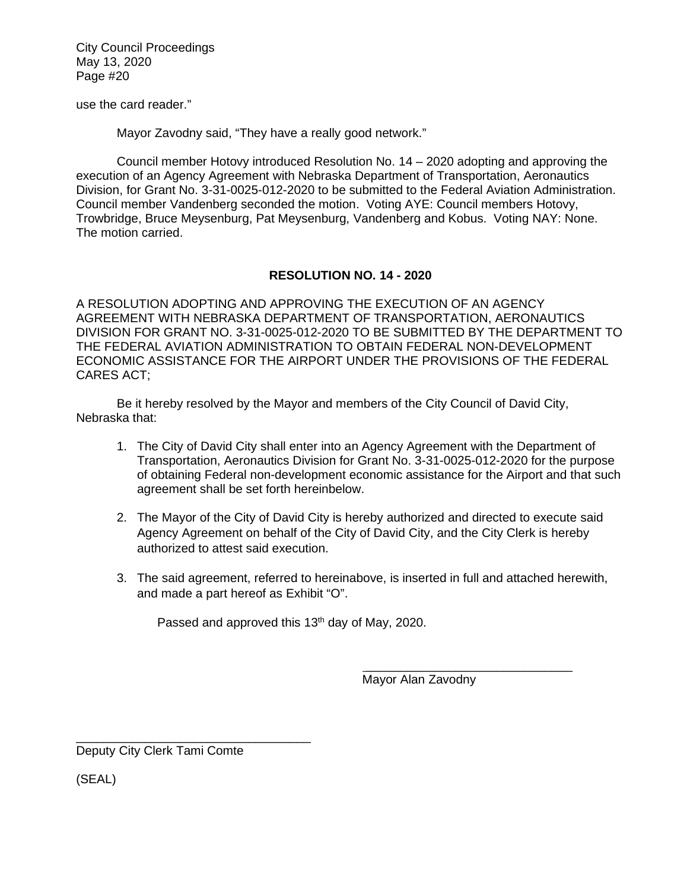use the card reader."

Mayor Zavodny said, "They have a really good network."

Council member Hotovy introduced Resolution No. 14 – 2020 adopting and approving the execution of an Agency Agreement with Nebraska Department of Transportation, Aeronautics Division, for Grant No. 3-31-0025-012-2020 to be submitted to the Federal Aviation Administration. Council member Vandenberg seconded the motion. Voting AYE: Council members Hotovy, Trowbridge, Bruce Meysenburg, Pat Meysenburg, Vandenberg and Kobus. Voting NAY: None. The motion carried.

# **RESOLUTION NO. 14 - 2020**

A RESOLUTION ADOPTING AND APPROVING THE EXECUTION OF AN AGENCY AGREEMENT WITH NEBRASKA DEPARTMENT OF TRANSPORTATION, AERONAUTICS DIVISION FOR GRANT NO. 3-31-0025-012-2020 TO BE SUBMITTED BY THE DEPARTMENT TO THE FEDERAL AVIATION ADMINISTRATION TO OBTAIN FEDERAL NON-DEVELOPMENT ECONOMIC ASSISTANCE FOR THE AIRPORT UNDER THE PROVISIONS OF THE FEDERAL CARES ACT;

Be it hereby resolved by the Mayor and members of the City Council of David City, Nebraska that:

- 1. The City of David City shall enter into an Agency Agreement with the Department of Transportation, Aeronautics Division for Grant No. 3-31-0025-012-2020 for the purpose of obtaining Federal non-development economic assistance for the Airport and that such agreement shall be set forth hereinbelow.
- 2. The Mayor of the City of David City is hereby authorized and directed to execute said Agency Agreement on behalf of the City of David City, and the City Clerk is hereby authorized to attest said execution.
- 3. The said agreement, referred to hereinabove, is inserted in full and attached herewith, and made a part hereof as Exhibit "O".

Passed and approved this 13<sup>th</sup> day of May, 2020.

 $\overline{\phantom{a}}$ 

Mayor Alan Zavodny

 $\mathcal{L}=\{1,2,3,4,5\}$  , we can assume that the contract of  $\mathcal{L}=\{1,2,3,4,5\}$ Deputy City Clerk Tami Comte

(SEAL)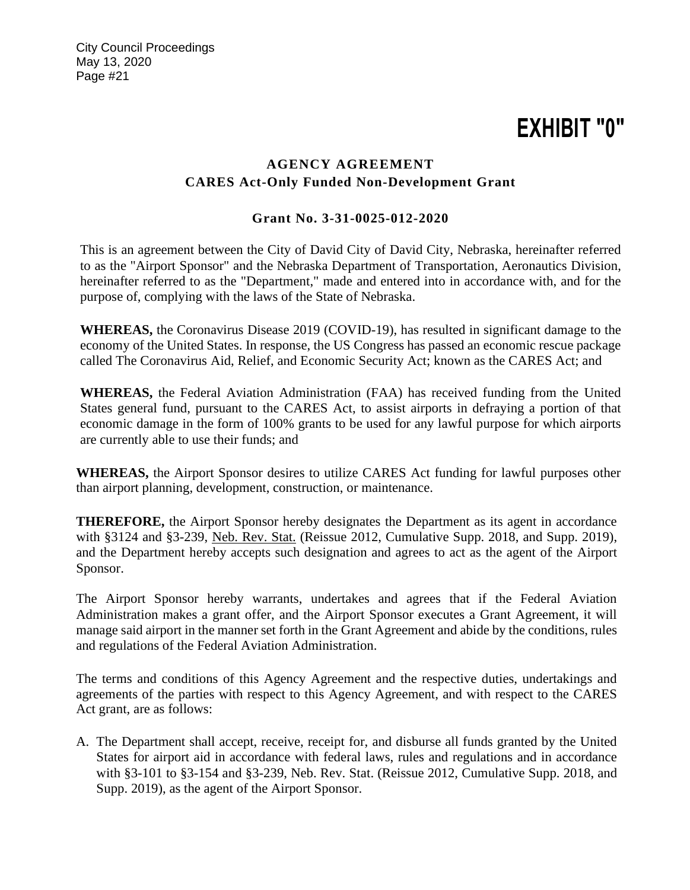# **EXHIBIT "0"**

# **AGENCY AGREEMENT CARES Act-Only Funded Non-Development Grant**

# **Grant No. 3-31-0025-012-2020**

This is an agreement between the City of David City of David City, Nebraska, hereinafter referred to as the "Airport Sponsor" and the Nebraska Department of Transportation, Aeronautics Division, hereinafter referred to as the "Department," made and entered into in accordance with, and for the purpose of, complying with the laws of the State of Nebraska.

**WHEREAS,** the Coronavirus Disease 2019 (COVID-19), has resulted in significant damage to the economy of the United States. In response, the US Congress has passed an economic rescue package called The Coronavirus Aid, Relief, and Economic Security Act; known as the CARES Act; and

**WHEREAS,** the Federal Aviation Administration (FAA) has received funding from the United States general fund, pursuant to the CARES Act, to assist airports in defraying a portion of that economic damage in the form of 100% grants to be used for any lawful purpose for which airports are currently able to use their funds; and

**WHEREAS,** the Airport Sponsor desires to utilize CARES Act funding for lawful purposes other than airport planning, development, construction, or maintenance.

**THEREFORE,** the Airport Sponsor hereby designates the Department as its agent in accordance with §3124 and §3-239, Neb. Rev. Stat. (Reissue 2012, Cumulative Supp. 2018, and Supp. 2019), and the Department hereby accepts such designation and agrees to act as the agent of the Airport Sponsor.

The Airport Sponsor hereby warrants, undertakes and agrees that if the Federal Aviation Administration makes a grant offer, and the Airport Sponsor executes a Grant Agreement, it will manage said airport in the manner set forth in the Grant Agreement and abide by the conditions, rules and regulations of the Federal Aviation Administration.

The terms and conditions of this Agency Agreement and the respective duties, undertakings and agreements of the parties with respect to this Agency Agreement, and with respect to the CARES Act grant, are as follows:

A. The Department shall accept, receive, receipt for, and disburse all funds granted by the United States for airport aid in accordance with federal laws, rules and regulations and in accordance with §3-101 to §3-154 and §3-239, Neb. Rev. Stat. (Reissue 2012, Cumulative Supp. 2018, and Supp. 2019), as the agent of the Airport Sponsor.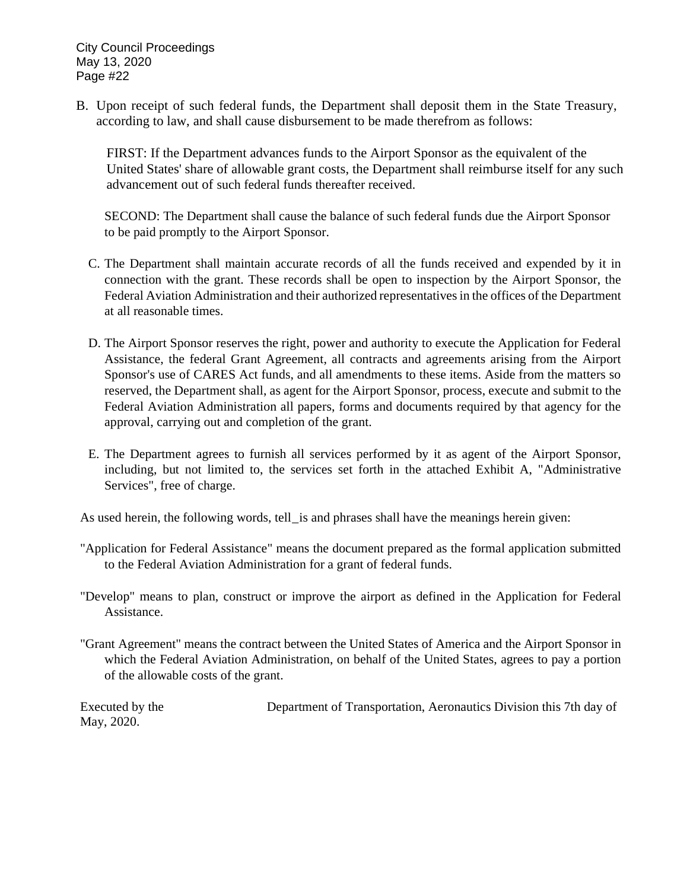B. Upon receipt of such federal funds, the Department shall deposit them in the State Treasury, according to law, and shall cause disbursement to be made therefrom as follows:

 FIRST: If the Department advances funds to the Airport Sponsor as the equivalent of the United States' share of allowable grant costs, the Department shall reimburse itself for any such advancement out of such federal funds thereafter received.

SECOND: The Department shall cause the balance of such federal funds due the Airport Sponsor to be paid promptly to the Airport Sponsor.

- C. The Department shall maintain accurate records of all the funds received and expended by it in connection with the grant. These records shall be open to inspection by the Airport Sponsor, the Federal Aviation Administration and their authorized representatives in the offices of the Department at all reasonable times.
- D. The Airport Sponsor reserves the right, power and authority to execute the Application for Federal Assistance, the federal Grant Agreement, all contracts and agreements arising from the Airport Sponsor's use of CARES Act funds, and all amendments to these items. Aside from the matters so reserved, the Department shall, as agent for the Airport Sponsor, process, execute and submit to the Federal Aviation Administration all papers, forms and documents required by that agency for the approval, carrying out and completion of the grant.
- E. The Department agrees to furnish all services performed by it as agent of the Airport Sponsor, including, but not limited to, the services set forth in the attached Exhibit A, "Administrative Services", free of charge.

As used herein, the following words, tell\_is and phrases shall have the meanings herein given:

- "Application for Federal Assistance" means the document prepared as the formal application submitted to the Federal Aviation Administration for a grant of federal funds.
- "Develop" means to plan, construct or improve the airport as defined in the Application for Federal Assistance.
- "Grant Agreement" means the contract between the United States of America and the Airport Sponsor in which the Federal Aviation Administration, on behalf of the United States, agrees to pay a portion of the allowable costs of the grant.

May, 2020.

Executed by the Department of Transportation, Aeronautics Division this 7th day of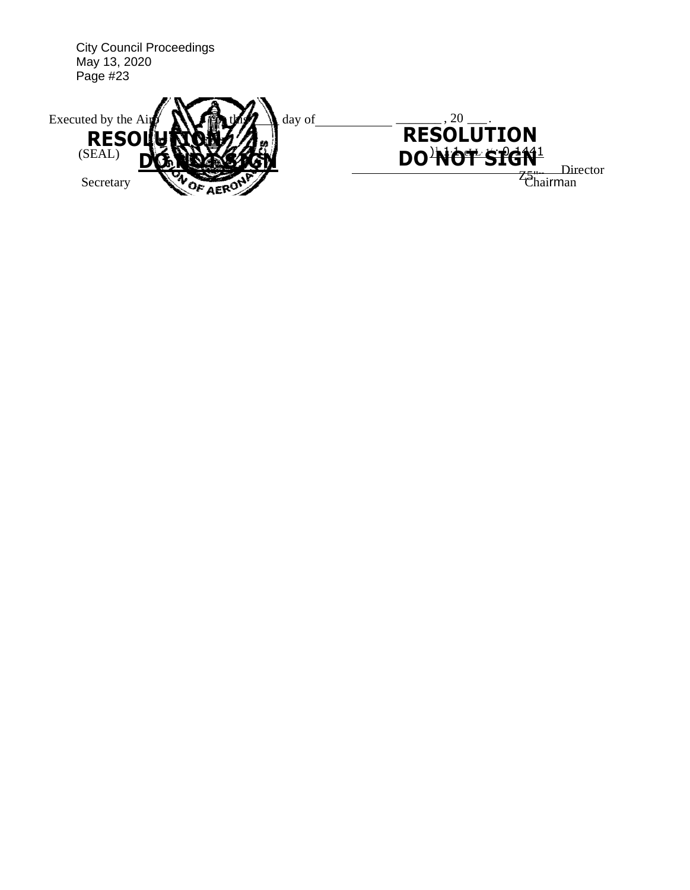| <b>City Council Proceedings</b><br>May 13, 2020<br>Page #23 |                   |
|-------------------------------------------------------------|-------------------|
| Executed by the Air                                         | 20                |
| day of                                                      | <b>RESOLUTION</b> |
| <b>RESOI</b>                                                | DO NOT STGN!      |
| (SEAL)                                                      | Director          |
| Secretary                                                   | $\tau$ hairman    |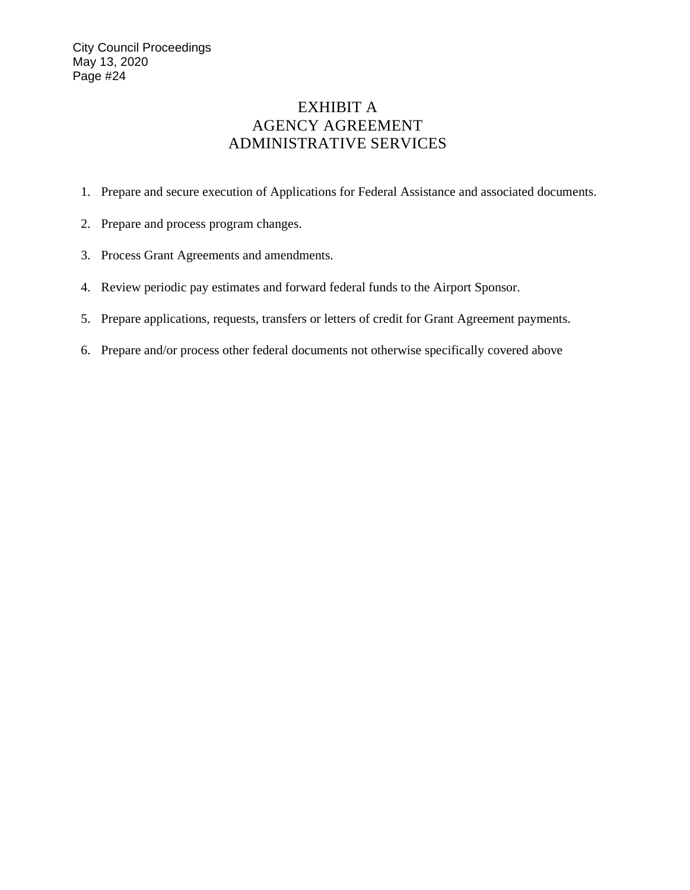# EXHIBIT A AGENCY AGREEMENT ADMINISTRATIVE SERVICES

- 1. Prepare and secure execution of Applications for Federal Assistance and associated documents.
- 2. Prepare and process program changes.
- 3. Process Grant Agreements and amendments.
- 4. Review periodic pay estimates and forward federal funds to the Airport Sponsor.
- 5. Prepare applications, requests, transfers or letters of credit for Grant Agreement payments.
- 6. Prepare and/or process other federal documents not otherwise specifically covered above